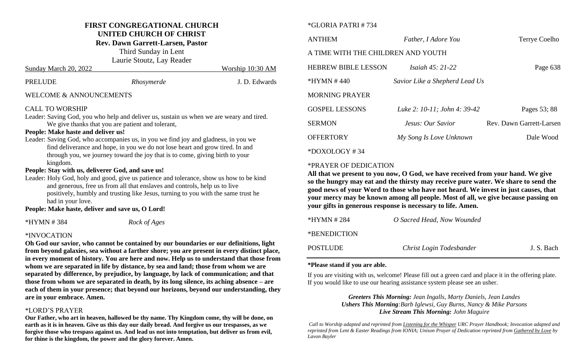#### **FIRST CONGREGATIONAL CHURCH UNITED CHURCH OF CHRIST**

**Rev. Dawn Garrett-Larsen, Pastor**

Third Sunday in Lent Laurie Stoutz, Lay Reader

| PRELUDE | Rhosymerde | J. D. Edwards |
|---------|------------|---------------|
|         |            |               |

Sunday March 20, 2022 Worship 10:30 AM

## WELCOME & ANNOUNCEMENTS

## CALL TO WORSHIP

Leader: Saving God, you who help and deliver us, sustain us when we are weary and tired. We give thanks that you are patient and tolerant,

#### **People: Make haste and deliver us!**

Leader: Saving God, who accompanies us, in you we find joy and gladness, in you we find deliverance and hope, in you we do not lose heart and grow tired. In and through you, we journey toward the joy that is to come, giving birth to your kingdom.

## **People: Stay with us, deliverer God, and save us!**

Leader: Holy God, holy and good, give us patience and tolerance, show us how to be kind and generous, free us from all that enslaves and controls, help us to live positively, humbly and trusting like Jesus, turning to you with the same trust he had in your love.

#### **People: Make haste, deliver and save us, O Lord!**

\*HYMN # 384 *Rock of Ages*

## \*INVOCATION

**Oh God our savior, who cannot be contained by our boundaries or our definitions, light from beyond galaxies, sea without a farther shore; you are present in every distinct place, in every moment of history. You are here and now. Help us to understand that those from whom we are separated in life by distance, by sea and land; those from whom we are separated by difference, by prejudice, by language, by lack of communication; and that those from whom we are separated in death, by its long silence, its aching absence – are each of them in your presence; that beyond our horizons, beyond our understanding, they are in your embrace. Amen.**

## \*LORD'S PRAYER

**Our Father, who art in heaven, hallowed be thy name. Thy Kingdom come, thy will be done, on earth as it is in heaven. Give us this day our daily bread. And forgive us our trespasses, as we forgive those who trespass against us. And lead us not into temptation, but deliver us from evil, for thine is the kingdom, the power and the glory forever. Amen.**

## \*GLORIA PATRI # 734

| <b>ANTHEM</b>                      | Father, <i>I Adore You</i>     | Terrye Coelho            |  |  |
|------------------------------------|--------------------------------|--------------------------|--|--|
| A TIME WITH THE CHILDREN AND YOUTH |                                |                          |  |  |
| <b>HEBREW BIBLE LESSON</b>         | <i>Isaiah 45: 21-22</i>        | Page 638                 |  |  |
| $*HYMN # 440$                      | Savior Like a Shepherd Lead Us |                          |  |  |
| <b>MORNING PRAYER</b>              |                                |                          |  |  |
| <b>GOSPEL LESSONS</b>              | Luke 2: 10-11; John 4: 39-42   | Pages 53; 88             |  |  |
| <b>SERMON</b>                      | Jesus: Our Savior              | Rev. Dawn Garrett-Larsen |  |  |
| <b>OFFERTORY</b>                   | My Song Is Love Unknown        | Dale Wood                |  |  |
| $*$ DOXOLOGY#34                    |                                |                          |  |  |

#### \*PRAYER OF DEDICATION

**All that we present to you now, O God, we have received from your hand. We give so the hungry may eat and the thirsty may receive pure water. We share to send the good news of your Word to those who have not heard. We invest in just causes, that your mercy may be known among all people. Most of all, we give because passing on your gifts in generous response is necessary to life. Amen.** 

| $*HYMN # 284$   | O Sacred Head, Now Wounded |            |
|-----------------|----------------------------|------------|
| *BENEDICTION    |                            |            |
| <b>POSTLUDE</b> | Christ Login Todesbander   | J. S. Bach |

#### **\*Please stand if you are able.**

If you are visiting with us, welcome! Please fill out a green card and place it in the offering plate. If you would like to use our hearing assistance system please see an usher.

#### *Greeters This Morning: Jean Ingalls, Marty Daniels, Jean Landes Ushers This Morning:Barb Iglewsi, Guy Burns, Nancy & Mike Parsons Live Stream This Morning: John Maguire*

*Call to Worship adapted and reprinted from Listening for the Whisper URC Prayer Handbook; Invocation adapted and reprinted from Lent & Easter Readings from IONIA; Unison Prayer of Dedication reprinted from Gathered by Love by Lavon Bayler*